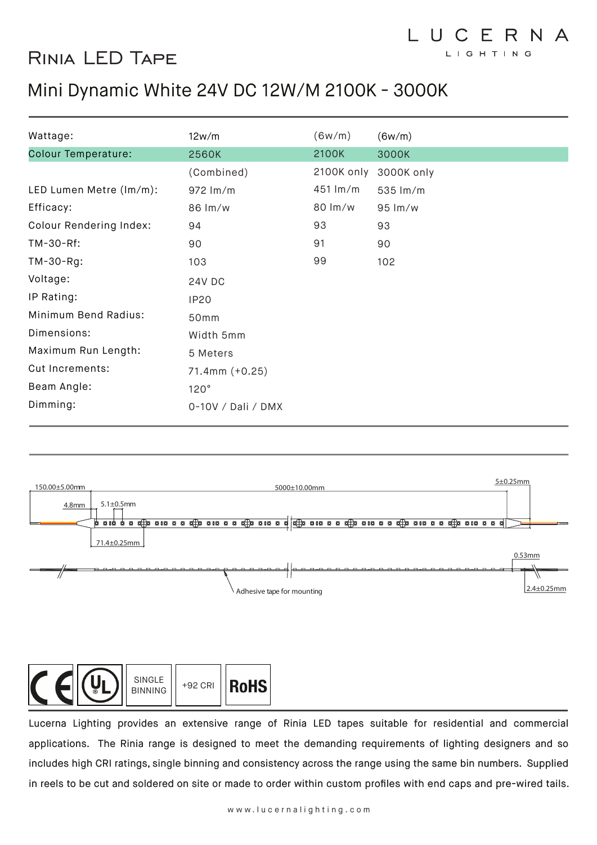## Rinia LED Tape

## Mini Dynamic White 24V DC 12W/M 2100K - 3000K

| Wattage:                                                        | 12w/m                                           | (6w/m)   | (6w/m)                                                                                                             |
|-----------------------------------------------------------------|-------------------------------------------------|----------|--------------------------------------------------------------------------------------------------------------------|
| <b>Colour Temperature:</b>                                      | <b>2560K</b>                                    | 2100K    | 3000K                                                                                                              |
|                                                                 | (Combined)                                      |          | 2100K only 3000K only                                                                                              |
| LED Lumen Metre (lm/m):                                         | 972 lm/m                                        | 451 lm/m | 535 lm/m                                                                                                           |
| Efficacy:                                                       | 86 lm/w                                         | 80 lm/w  | 95 lm/w                                                                                                            |
| <b>Colour Rendering Index:</b>                                  | 94                                              | 93       | 93                                                                                                                 |
| TM-30-Rf:                                                       | 90                                              | 91       | 90                                                                                                                 |
| TM-30-Rg:                                                       | 103                                             | 99       | 102                                                                                                                |
| Voltage:                                                        | 24V DC                                          |          |                                                                                                                    |
| IP Rating:                                                      | <b>IP20</b>                                     |          |                                                                                                                    |
| Minimum Bend Radius:                                            | 50mm                                            |          |                                                                                                                    |
| Dimensions:                                                     | Width 5mm                                       |          |                                                                                                                    |
| Maximum Run Length:                                             | 5 Meters                                        |          |                                                                                                                    |
| Cut Increments:                                                 | 71.4mm (+0.25)                                  |          |                                                                                                                    |
| Beam Angle:                                                     | 120°                                            |          |                                                                                                                    |
| Dimming:                                                        | 0-10V / Dali / DMX                              |          |                                                                                                                    |
| 150.00±5.00mm<br>$5.1 \pm 0.5$ mm<br>4.8mm<br>71.4±0.25mm<br>// | 5000±10.00mm<br>Н<br>Adhesive tape for mounting |          | $5\pm0.25$ mm<br>0.53mm<br>∥<br>$2.4 \pm 0.25$ mm                                                                  |
| SINGLE<br><b>BINNING</b>                                        | <b>RoHS</b><br>+92 CRI                          |          | Lucerna Lighting provides an extensive range of Rinia LED tapes suitable for residential and commercial            |
|                                                                 |                                                 |          | applications. The Rinia range is designed to meet the demanding requirements of lighting designers and so          |
|                                                                 |                                                 |          | includes high CRI ratings, single binning and consistency across the range using the same bin numbers. Supplied    |
|                                                                 |                                                 |          | in reels to be cut and soldered on site or made to order within custom profiles with end caps and pre-wired tails. |

LUCERNA LIGHTING